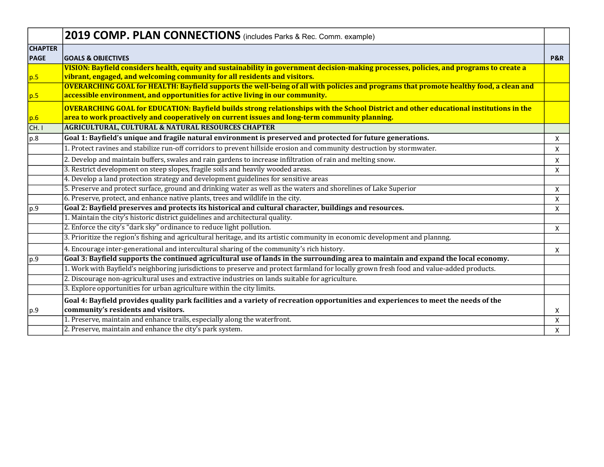|                               | 2019 COMP. PLAN CONNECTIONS (includes Parks & Rec. Comm. example)                                                                                                                                                                                                                                                 |                |
|-------------------------------|-------------------------------------------------------------------------------------------------------------------------------------------------------------------------------------------------------------------------------------------------------------------------------------------------------------------|----------------|
| <b>CHAPTER</b><br><b>PAGE</b> | <b>GOALS &amp; OBJECTIVES</b>                                                                                                                                                                                                                                                                                     | <b>P&amp;R</b> |
| p.5                           | VISION: Bayfield considers health, equity and sustainability in government decision-making processes, policies, and programs to create a<br>vibrant, engaged, and welcoming community for all residents and visitors.                                                                                             |                |
| p.5                           | <b>OVERARCHING GOAL for HEALTH: Bayfield supports the well-being of all with policies and programs that promote healthy food, a clean and</b><br>accessible environment, and opportunities for active living in our community.                                                                                    |                |
| p.6 <br>CH.1                  | <b>OVERARCHING GOAL for EDUCATION: Bayfield builds strong relationships with the School District and other educational institutions in the</b><br>area to work proactively and cooperatively on current issues and long-term community planning.<br><b>AGRICULTURAL, CULTURAL &amp; NATURAL RESOURCES CHAPTER</b> |                |
| p.8                           | Goal 1: Bayfield's unique and fragile natural environment is preserved and protected for future generations.                                                                                                                                                                                                      | X              |
|                               | 1. Protect ravines and stabilize run-off corridors to prevent hillside erosion and community destruction by stormwater.                                                                                                                                                                                           | X              |
|                               | 2. Develop and maintain buffers, swales and rain gardens to increase infiltration of rain and melting snow.                                                                                                                                                                                                       | X              |
|                               | 3. Restrict development on steep slopes, fragile soils and heavily wooded areas.                                                                                                                                                                                                                                  | X              |
|                               | 4. Develop a land protection strategy and development guidelines for sensitive areas                                                                                                                                                                                                                              |                |
|                               | 5. Preserve and protect surface, ground and drinking water as well as the waters and shorelines of Lake Superior                                                                                                                                                                                                  | X              |
|                               | 6. Preserve, protect, and enhance native plants, trees and wildlife in the city.                                                                                                                                                                                                                                  | X              |
| p.9                           | Goal 2: Bayfield preserves and protects its historical and cultural character, buildings and resources.                                                                                                                                                                                                           | X              |
|                               | 1. Maintain the city's historic district guidelines and architectural quality.                                                                                                                                                                                                                                    |                |
|                               | 2. Enforce the city's "dark sky" ordinance to reduce light pollution.                                                                                                                                                                                                                                             | X              |
|                               | 3. Prioritize the region's fishing and agricultural heritage, and its artistic community in economic development and plannng.                                                                                                                                                                                     |                |
|                               | 4. Encourage inter-generational and intercultural sharing of the community's rich history.                                                                                                                                                                                                                        | X              |
| p.9                           | Goal 3: Bayfield supports the continued agricultural use of lands in the surrounding area to maintain and expand the local economy.                                                                                                                                                                               |                |
|                               | 1. Work with Bayfield's neighboring jurisdictions to preserve and protect farmland for locally grown fresh food and value-added products.                                                                                                                                                                         |                |
|                               | 2. Discourage non-agricultural uses and extractive industries on lands suitable for agriculture.                                                                                                                                                                                                                  |                |
|                               | 3. Explore opportunities for urban agriculture within the city limits.                                                                                                                                                                                                                                            |                |
|                               | Goal 4: Bayfield provides quality park facilities and a variety of recreation opportunities and experiences to meet the needs of the                                                                                                                                                                              |                |
| p.9                           | community's residents and visitors.                                                                                                                                                                                                                                                                               | X              |
|                               | 1. Preserve, maintain and enhance trails, especially along the waterfront.                                                                                                                                                                                                                                        | X              |
|                               | 2. Preserve, maintain and enhance the city's park system.                                                                                                                                                                                                                                                         | X              |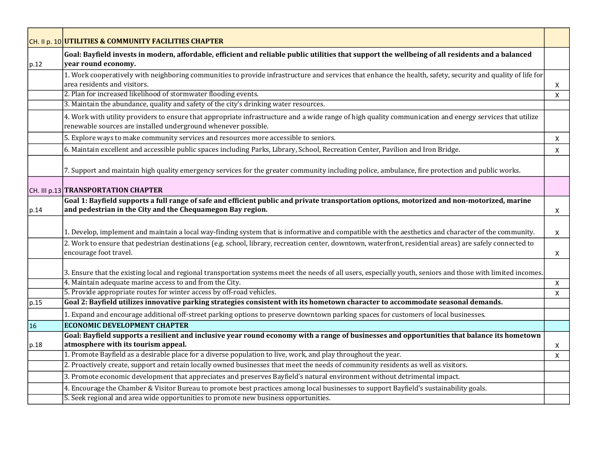|                | CH. II p. 10 UTILITIES & COMMUNITY FACILITIES CHAPTER                                                                                                                                                                         |              |
|----------------|-------------------------------------------------------------------------------------------------------------------------------------------------------------------------------------------------------------------------------|--------------|
| $ p.12\rangle$ | Goal: Bayfield invests in modern, affordable, efficient and reliable public utilities that support the wellbeing of all residents and a balanced<br>year round economy.                                                       |              |
|                | 1. Work cooperatively with neighboring communities to provide infrastructure and services that enhance the health, safety, security and quality of life for<br>area residents and visitors.                                   | X            |
|                | 2. Plan for increased likelihood of stormwater flooding events.<br>3. Maintain the abundance, quality and safety of the city's drinking water resources.                                                                      | $\mathsf{X}$ |
|                | 4. Work with utility providers to ensure that appropriate infrastructure and a wide range of high quality communication and energy services that utilize<br>renewable sources are installed underground whenever possible.    |              |
|                | 5. Explore ways to make community services and resources more accessible to seniors.                                                                                                                                          | X            |
|                | 6. Maintain excellent and accessible public spaces including Parks, Library, School, Recreation Center, Pavilion and Iron Bridge.                                                                                             | X            |
|                | 7. Support and maintain high quality emergency services for the greater community including police, ambulance, fire protection and public works.                                                                              |              |
|                | CH. III p.13 TRANSPORTATION CHAPTER                                                                                                                                                                                           |              |
| p.14           | Goal 1: Bayfield supports a full range of safe and efficient public and private transportation options, motorized and non-motorized, marine<br>and pedestrian in the City and the Chequamegon Bay region.                     | X            |
|                | 1. Develop, implement and maintain a local way-finding system that is informative and compatible with the aesthetics and character of the community.                                                                          | X            |
|                | 2. Work to ensure that pedestrian destinations (e.g. school, library, recreation center, downtown, waterfront, residential areas) are safely connected to<br>encourage foot travel.                                           | X            |
|                | 3. Ensure that the existing local and regional transportation systems meet the needs of all users, especially youth, seniors and those with limited incomes.                                                                  |              |
|                | 4. Maintain adequate marine access to and from the City.                                                                                                                                                                      | $\mathsf{X}$ |
|                | 5. Provide appropriate routes for winter access by off-road vehicles.                                                                                                                                                         | X            |
| p.15           | Goal 2: Bayfield utilizes innovative parking strategies consistent with its hometown character to accommodate seasonal demands.                                                                                               |              |
|                | 1. Expand and encourage additional off-street parking options to preserve downtown parking spaces for customers of local businesses.                                                                                          |              |
| 16             | <b>ECONOMIC DEVELOPMENT CHAPTER</b>                                                                                                                                                                                           |              |
|                | Goal: Bayfield supports a resilient and inclusive year round economy with a range of businesses and opportunities that balance its hometown<br>atmosphere with its tourism appeal.                                            |              |
| p.18           | 1. Promote Bayfield as a desirable place for a diverse population to live, work, and play throughout the year.                                                                                                                | X            |
|                | 2. Proactively create, support and retain locally owned businesses that meet the needs of community residents as well as visitors.                                                                                            | X            |
|                | 3. Promote economic development that appreciates and preserves Bayfield's natural environment without detrimental impact.                                                                                                     |              |
|                |                                                                                                                                                                                                                               |              |
|                | 4. Encourage the Chamber & Visitor Bureau to promote best practices among local businesses to support Bayfield's sustainability goals.<br>5. Seek regional and area wide opportunities to promote new business opportunities. |              |
|                |                                                                                                                                                                                                                               |              |